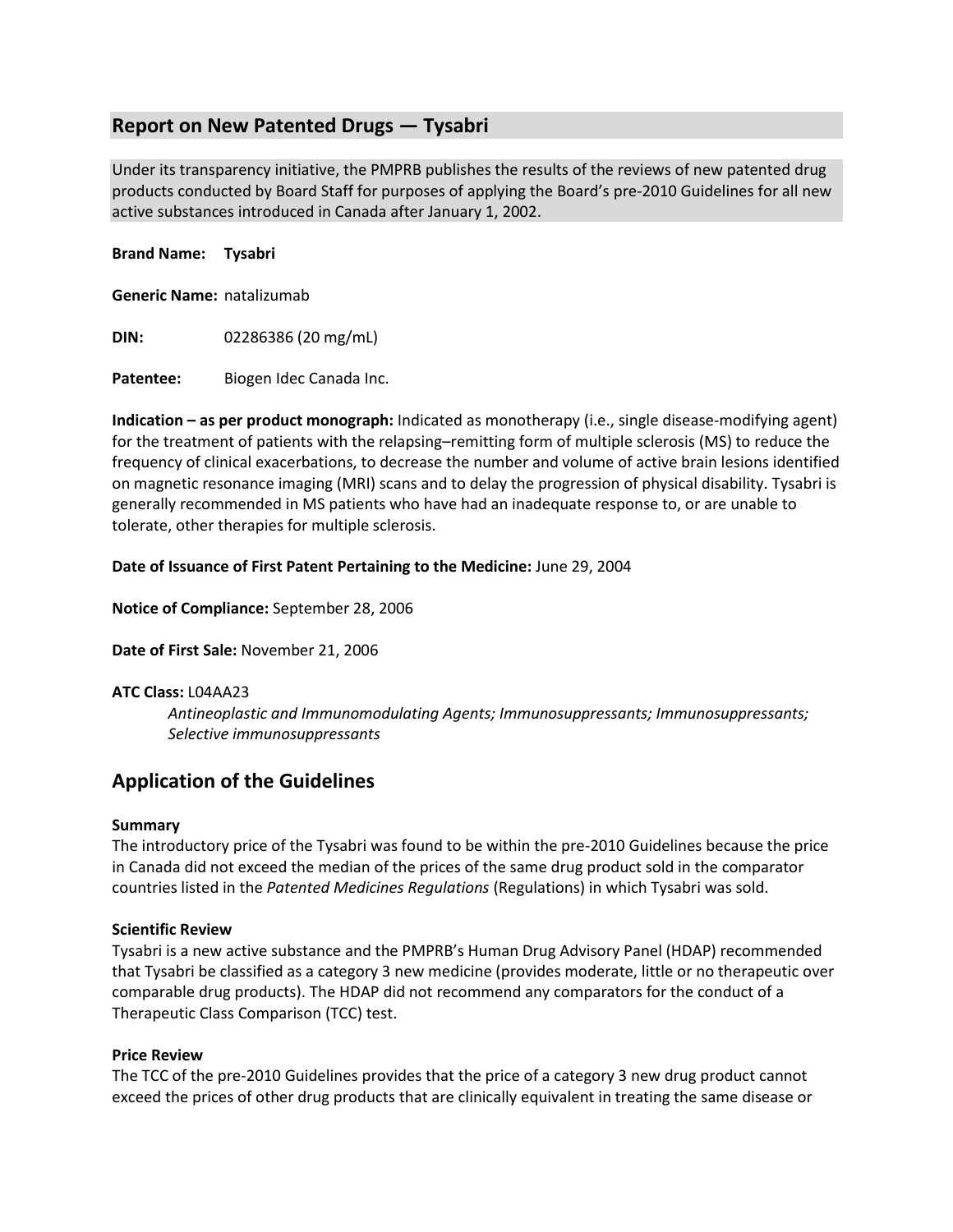## **Report on New Patented Drugs — Tysabri**

Under its transparency initiative, the PMPRB publishes the results of the reviews of new patented drug products conducted by Board Staff for purposes of applying the Board's pre-2010 Guidelines for all new active substances introduced in Canada after January 1, 2002.

#### **Brand Name: Tysabri**

**Generic Name:** natalizumab

**DIN:** 02286386 (20 mg/mL)

Patentee: Biogen Idec Canada Inc.

**Indication – as per product monograph:** Indicated as monotherapy (i.e., single disease-modifying agent) for the treatment of patients with the relapsing–remitting form of multiple sclerosis (MS) to reduce the frequency of clinical exacerbations, to decrease the number and volume of active brain lesions identified on magnetic resonance imaging (MRI) scans and to delay the progression of physical disability. Tysabri is generally recommended in MS patients who have had an inadequate response to, or are unable to tolerate, other therapies for multiple sclerosis.

#### **Date of Issuance of First Patent Pertaining to the Medicine:** June 29, 2004

**Notice of Compliance:** September 28, 2006

**Date of First Sale:** November 21, 2006

#### **ATC Class:** L04AA23

*Antineoplastic and Immunomodulating Agents; Immunosuppressants; Immunosuppressants; Selective immunosuppressants*

# **Application of the Guidelines**

#### **Summary**

The introductory price of the Tysabri was found to be within the pre-2010 Guidelines because the price in Canada did not exceed the median of the prices of the same drug product sold in the comparator countries listed in the *Patented Medicines Regulations* (Regulations) in which Tysabri was sold.

#### **Scientific Review**

Tysabri is a new active substance and the PMPRB's Human Drug Advisory Panel (HDAP) recommended that Tysabri be classified as a category 3 new medicine (provides moderate, little or no therapeutic over comparable drug products). The HDAP did not recommend any comparators for the conduct of a Therapeutic Class Comparison (TCC) test.

#### **Price Review**

The TCC of the pre-2010 Guidelines provides that the price of a category 3 new drug product cannot exceed the prices of other drug products that are clinically equivalent in treating the same disease or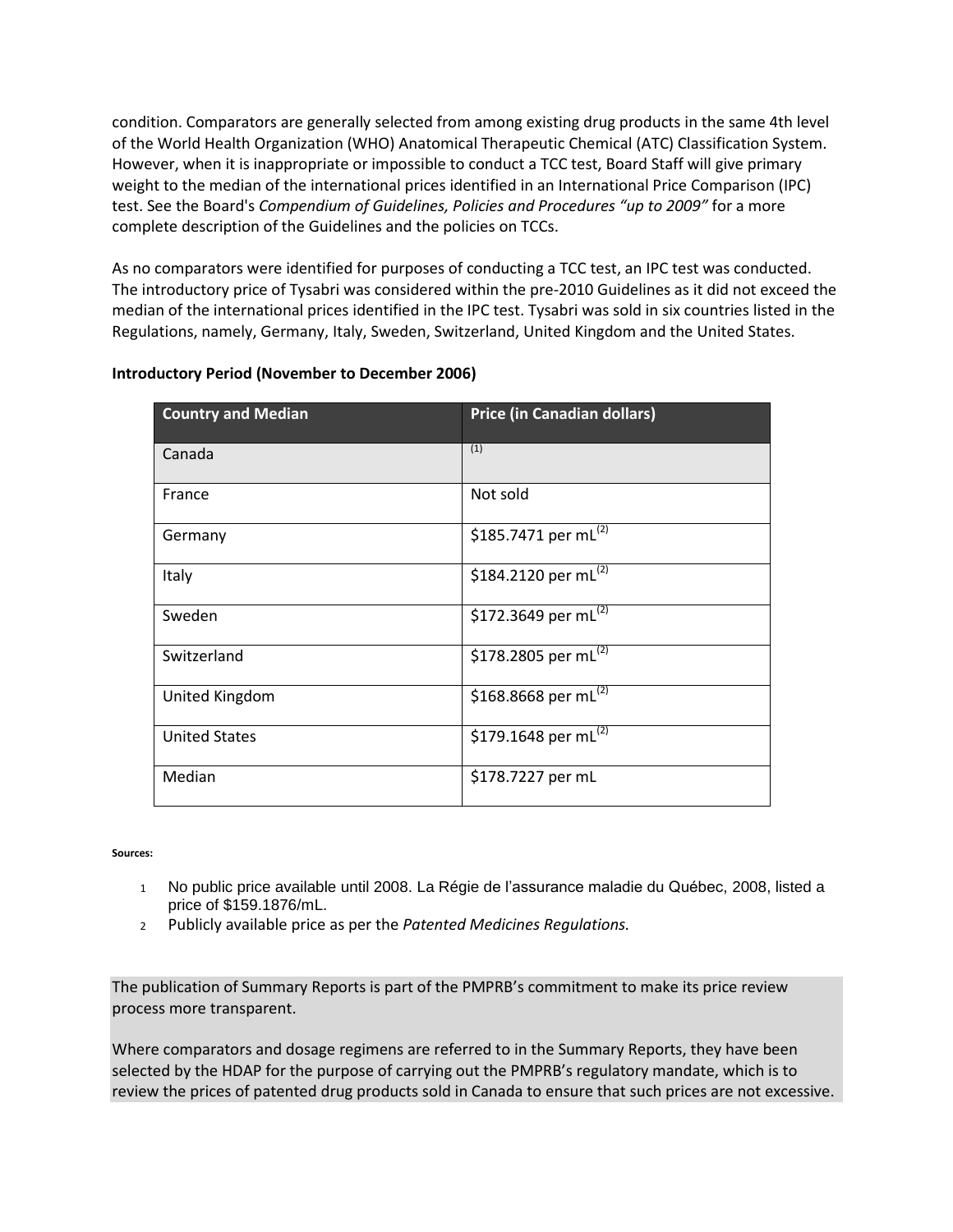condition. Comparators are generally selected from among existing drug products in the same 4th level of the World Health Organization (WHO) Anatomical Therapeutic Chemical (ATC) Classification System. However, when it is inappropriate or impossible to conduct a TCC test, Board Staff will give primary weight to the median of the international prices identified in an International Price Comparison (IPC) test. See the Board's *Compendium of Guidelines, Policies and Procedures "up to 2009"* for a more complete description of the Guidelines and the policies on TCCs.

As no comparators were identified for purposes of conducting a TCC test, an IPC test was conducted. The introductory price of Tysabri was considered within the pre-2010 Guidelines as it did not exceed the median of the international prices identified in the IPC test. Tysabri was sold in six countries listed in the Regulations, namely, Germany, Italy, Sweden, Switzerland, United Kingdom and the United States.

### **Introductory Period (November to December 2006)**

| <b>Country and Median</b> | <b>Price (in Canadian dollars)</b> |
|---------------------------|------------------------------------|
| Canada                    | (1)                                |
| France                    | Not sold                           |
| Germany                   | \$185.7471 per mL(2)               |
| Italy                     | \$184.2120 per mL(2)               |
| Sweden                    | \$172.3649 per mL(2)               |
| Switzerland               | \$178.2805 per mL(2)               |
| United Kingdom            | \$168.8668 per mL(2)               |
| <b>United States</b>      | \$179.1648 per mL(2)               |
| Median                    | \$178.7227 per mL                  |

**Sources:** 

- 1 No public price available until 2008. La Régie de l'assurance maladie du Québec, 2008, listed a price of \$159.1876/mL.
- <sup>2</sup> Publicly available price as per the *Patented Medicines Regulations.*

The publication of Summary Reports is part of the PMPRB's commitment to make its price review process more transparent.

Where comparators and dosage regimens are referred to in the Summary Reports, they have been selected by the HDAP for the purpose of carrying out the PMPRB's regulatory mandate, which is to review the prices of patented drug products sold in Canada to ensure that such prices are not excessive.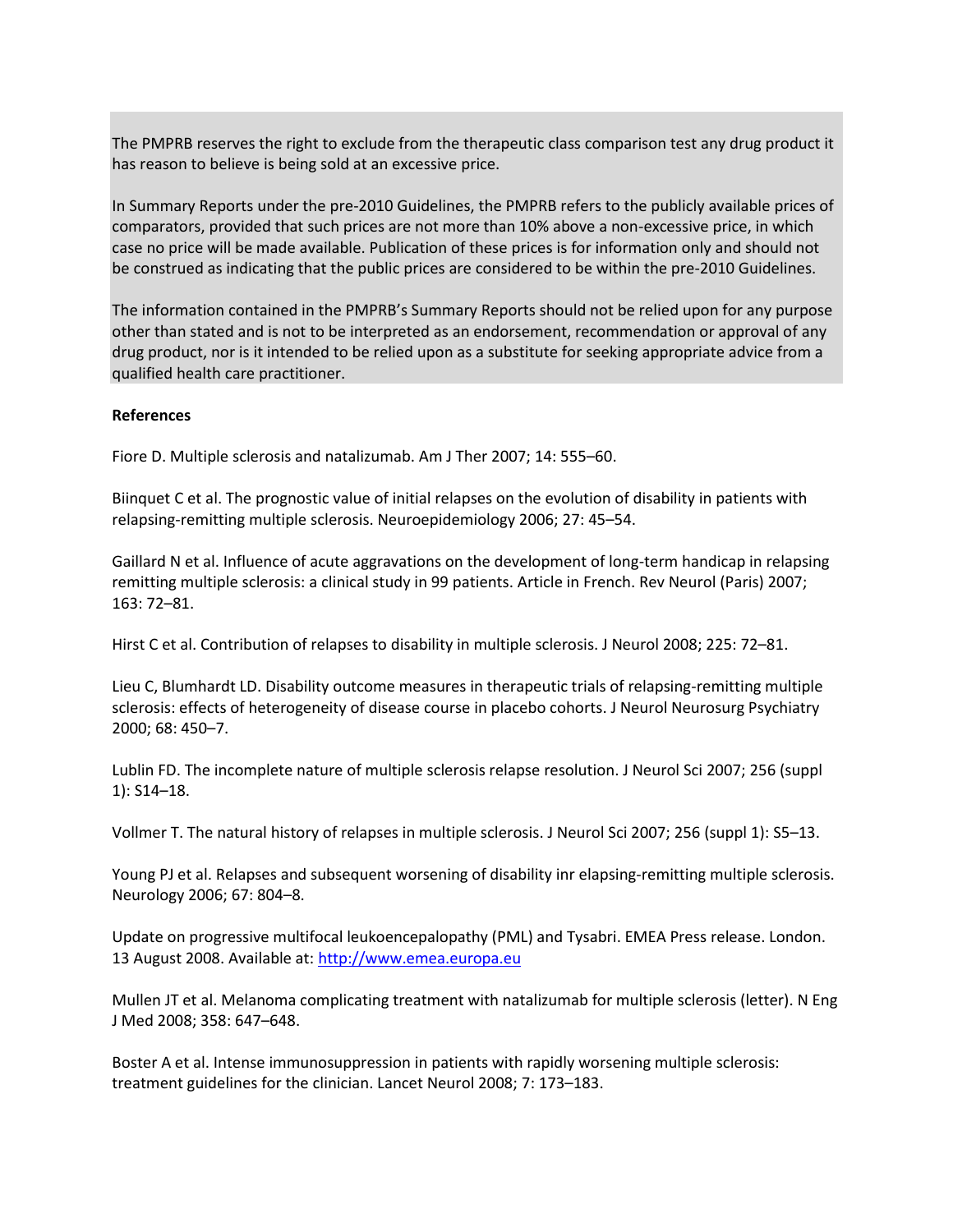The PMPRB reserves the right to exclude from the therapeutic class comparison test any drug product it has reason to believe is being sold at an excessive price.

In Summary Reports under the pre-2010 Guidelines, the PMPRB refers to the publicly available prices of comparators, provided that such prices are not more than 10% above a non-excessive price, in which case no price will be made available. Publication of these prices is for information only and should not be construed as indicating that the public prices are considered to be within the pre-2010 Guidelines.

The information contained in the PMPRB's Summary Reports should not be relied upon for any purpose other than stated and is not to be interpreted as an endorsement, recommendation or approval of any drug product, nor is it intended to be relied upon as a substitute for seeking appropriate advice from a qualified health care practitioner.

#### **References**

Fiore D. Multiple sclerosis and natalizumab. Am J Ther 2007; 14: 555–60.

Biinquet C et al. The prognostic value of initial relapses on the evolution of disability in patients with relapsing-remitting multiple sclerosis. Neuroepidemiology 2006; 27: 45–54.

Gaillard N et al. Influence of acute aggravations on the development of long-term handicap in relapsing remitting multiple sclerosis: a clinical study in 99 patients. Article in French. Rev Neurol (Paris) 2007; 163: 72–81.

Hirst C et al. Contribution of relapses to disability in multiple sclerosis. J Neurol 2008; 225: 72–81.

Lieu C, Blumhardt LD. Disability outcome measures in therapeutic trials of relapsing-remitting multiple sclerosis: effects of heterogeneity of disease course in placebo cohorts. J Neurol Neurosurg Psychiatry 2000; 68: 450–7.

Lublin FD. The incomplete nature of multiple sclerosis relapse resolution. J Neurol Sci 2007; 256 (suppl 1): S14–18.

Vollmer T. The natural history of relapses in multiple sclerosis. J Neurol Sci 2007; 256 (suppl 1): S5–13.

Young PJ et al. Relapses and subsequent worsening of disability inr elapsing-remitting multiple sclerosis. Neurology 2006; 67: 804–8.

Update on progressive multifocal leukoencepalopathy (PML) and Tysabri. EMEA Press release. London. 13 August 2008. Available at: [http://www.emea.europa.eu](http://www.emea.europa.eu/)

Mullen JT et al. Melanoma complicating treatment with natalizumab for multiple sclerosis (letter). N Eng J Med 2008; 358: 647–648.

Boster A et al. Intense immunosuppression in patients with rapidly worsening multiple sclerosis: treatment guidelines for the clinician. Lancet Neurol 2008; 7: 173–183.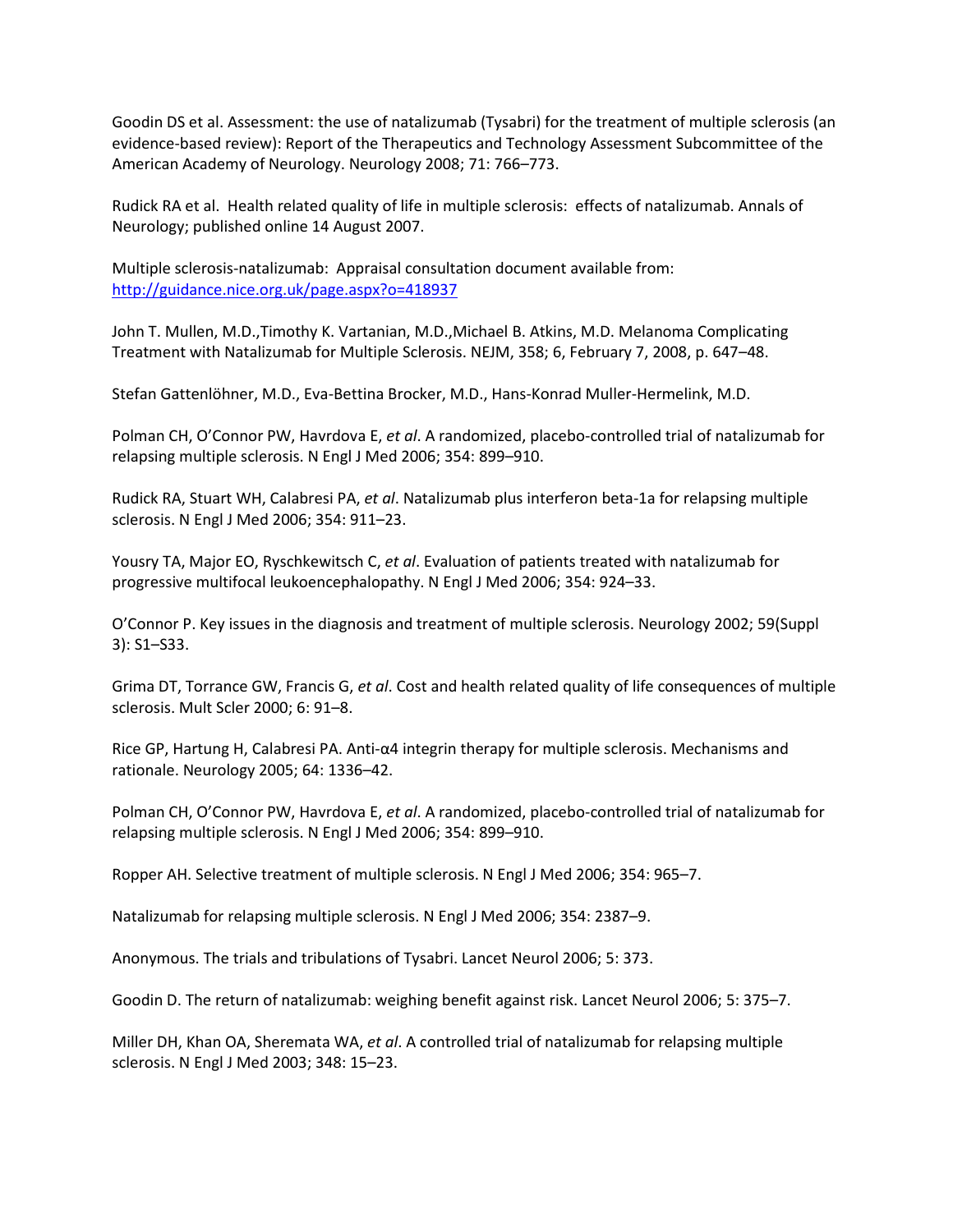Goodin DS et al. Assessment: the use of natalizumab (Tysabri) for the treatment of multiple sclerosis (an evidence-based review): Report of the Therapeutics and Technology Assessment Subcommittee of the American Academy of Neurology. Neurology 2008; 71: 766–773.

Rudick RA et al. Health related quality of life in multiple sclerosis: effects of natalizumab. Annals of Neurology; published online 14 August 2007.

Multiple sclerosis-natalizumab: Appraisal consultation document available from: <http://guidance.nice.org.uk/page.aspx?o=418937>

John T. Mullen, M.D.,Timothy K. Vartanian, M.D.,Michael B. Atkins, M.D. Melanoma Complicating Treatment with Natalizumab for Multiple Sclerosis. NEJM, 358; 6, February 7, 2008, p. 647–48.

Stefan Gattenlöhner, M.D., Eva-Bettina Brocker, M.D., Hans-Konrad Muller-Hermelink, M.D.

Polman CH, O'Connor PW, Havrdova E, *et al*. A randomized, placebo-controlled trial of natalizumab for relapsing multiple sclerosis. N Engl J Med 2006; 354: 899–910.

Rudick RA, Stuart WH, Calabresi PA, *et al*. Natalizumab plus interferon beta-1a for relapsing multiple sclerosis. N Engl J Med 2006; 354: 911–23.

Yousry TA, Major EO, Ryschkewitsch C, *et al*. Evaluation of patients treated with natalizumab for progressive multifocal leukoencephalopathy. N Engl J Med 2006; 354: 924–33.

O'Connor P. Key issues in the diagnosis and treatment of multiple sclerosis. Neurology 2002; 59(Suppl 3): S1–S33.

Grima DT, Torrance GW, Francis G, *et al*. Cost and health related quality of life consequences of multiple sclerosis. Mult Scler 2000; 6: 91–8.

Rice GP, Hartung H, Calabresi PA. Anti-α4 integrin therapy for multiple sclerosis. Mechanisms and rationale. Neurology 2005; 64: 1336–42.

Polman CH, O'Connor PW, Havrdova E, *et al*. A randomized, placebo-controlled trial of natalizumab for relapsing multiple sclerosis. N Engl J Med 2006; 354: 899–910.

Ropper AH. Selective treatment of multiple sclerosis. N Engl J Med 2006; 354: 965–7.

Natalizumab for relapsing multiple sclerosis. N Engl J Med 2006; 354: 2387–9.

Anonymous. The trials and tribulations of Tysabri. Lancet Neurol 2006; 5: 373.

Goodin D. The return of natalizumab: weighing benefit against risk. Lancet Neurol 2006; 5: 375–7.

Miller DH, Khan OA, Sheremata WA, *et al*. A controlled trial of natalizumab for relapsing multiple sclerosis. N Engl J Med 2003; 348: 15–23.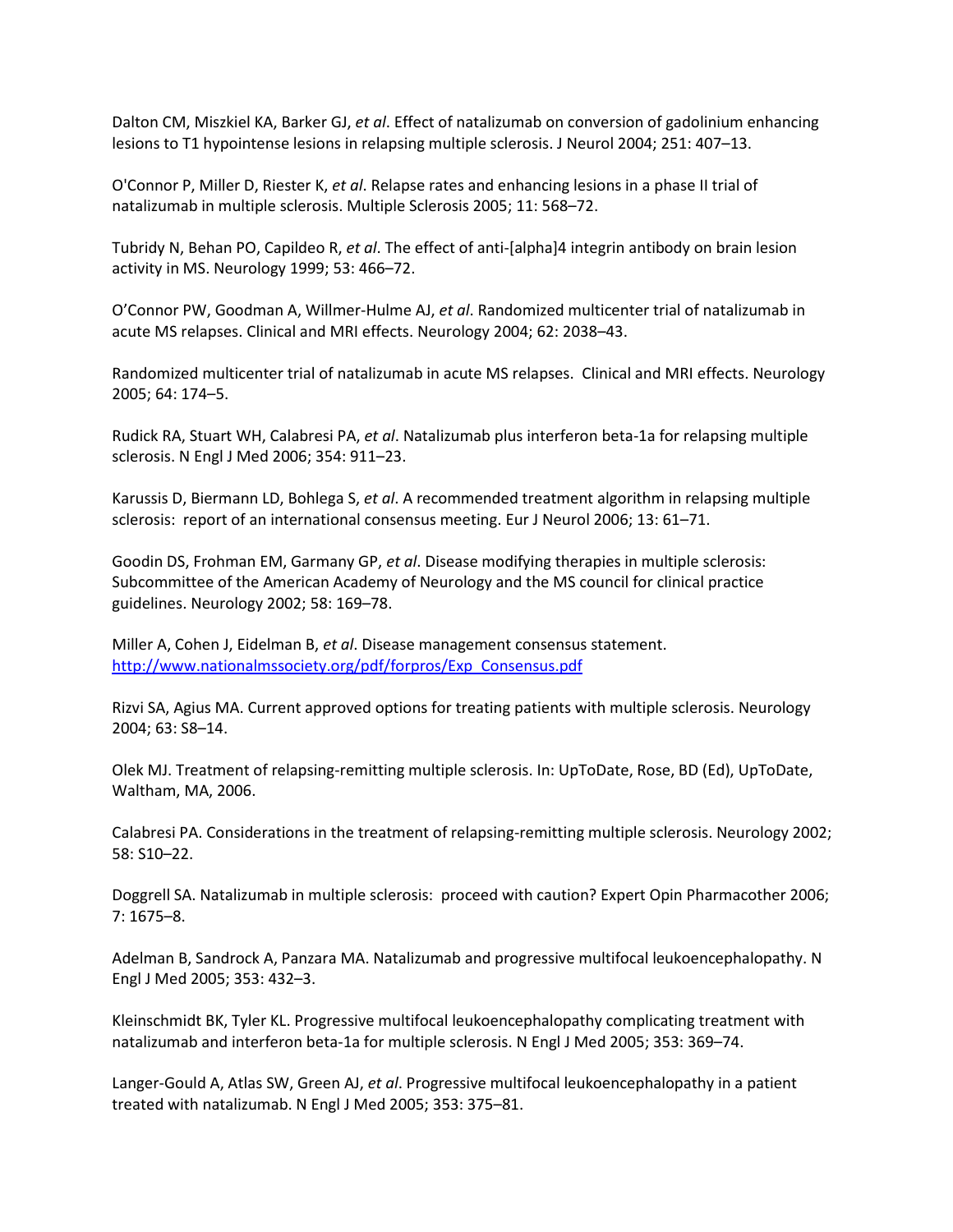Dalton CM, Miszkiel KA, Barker GJ, *et al*. Effect of natalizumab on conversion of gadolinium enhancing lesions to T1 hypointense lesions in relapsing multiple sclerosis. J Neurol 2004; 251: 407–13.

O'Connor P, Miller D, Riester K, *et al*. Relapse rates and enhancing lesions in a phase II trial of natalizumab in multiple sclerosis. Multiple Sclerosis 2005; 11: 568–72.

Tubridy N, Behan PO, Capildeo R, *et al*. The effect of anti-[alpha]4 integrin antibody on brain lesion activity in MS. Neurology 1999; 53: 466–72.

O'Connor PW, Goodman A, Willmer-Hulme AJ, *et al*. Randomized multicenter trial of natalizumab in acute MS relapses. Clinical and MRI effects. Neurology 2004; 62: 2038–43.

Randomized multicenter trial of natalizumab in acute MS relapses. Clinical and MRI effects. Neurology 2005; 64: 174–5.

Rudick RA, Stuart WH, Calabresi PA, *et al*. Natalizumab plus interferon beta-1a for relapsing multiple sclerosis. N Engl J Med 2006; 354: 911–23.

Karussis D, Biermann LD, Bohlega S, *et al*. A recommended treatment algorithm in relapsing multiple sclerosis: report of an international consensus meeting. Eur J Neurol 2006; 13: 61–71.

Goodin DS, Frohman EM, Garmany GP, *et al*. Disease modifying therapies in multiple sclerosis: Subcommittee of the American Academy of Neurology and the MS council for clinical practice guidelines. Neurology 2002; 58: 169–78.

Miller A, Cohen J, Eidelman B, *et al*. Disease management consensus statement. [http://www.nationalmssociety.org/pdf/forpros/Exp\\_Consensus.pdf](http://www.nationalmssociety.org/pdf/forpros/Exp_Consensus.pdf)

Rizvi SA, Agius MA. Current approved options for treating patients with multiple sclerosis. Neurology 2004; 63: S8–14.

Olek MJ. Treatment of relapsing-remitting multiple sclerosis. In: UpToDate, Rose, BD (Ed), UpToDate, Waltham, MA, 2006.

Calabresi PA. Considerations in the treatment of relapsing-remitting multiple sclerosis. Neurology 2002; 58: S10–22.

Doggrell SA. Natalizumab in multiple sclerosis: proceed with caution? Expert Opin Pharmacother 2006; 7: 1675–8.

Adelman B, Sandrock A, Panzara MA. Natalizumab and progressive multifocal leukoencephalopathy. N Engl J Med 2005; 353: 432–3.

Kleinschmidt BK, Tyler KL. Progressive multifocal leukoencephalopathy complicating treatment with natalizumab and interferon beta-1a for multiple sclerosis. N Engl J Med 2005; 353: 369–74.

Langer-Gould A, Atlas SW, Green AJ, *et al*. Progressive multifocal leukoencephalopathy in a patient treated with natalizumab. N Engl J Med 2005; 353: 375–81.